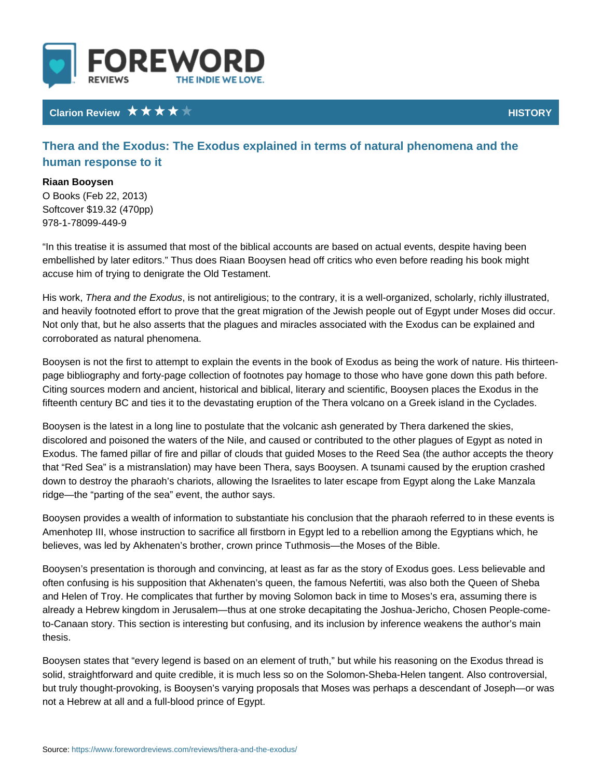## Clarion Review **HISTO**

Thera and the Exodus: The Exodus explained in terms of natural p human response to it

Riaan Booysen O Books (Feb 22, 2013) Softcover \$19.32 (470pp) 978-1-78099-449-9

In this treatise it is assumed that most of the biblical accounts are based on a embellished by later editors. Thus does Riaan Booysen head off critics who ev accuse him of trying to denigrate the Old Testament.

His workera and the Exondouts antireligious; to the contrary, it is a well-organized and heavily footnoted effort to prove that the great migration of the Jewish peo Not only that, but he also asserts that the plagues and miracles associated with corroborated as natural phenomena.

Booysen is not the first to attempt to explain the events in the book of Exodus page bibliography and forty-page collection of footnotes pay homage to those w Citing sources modern and ancient, historical and biblical, literary and scientif fifteenth century BC and ties it to the devastating eruption of the Thera volcano

Booysen is the latest in a long line to postulate that the volcanic ash generated discolored and poisoned the waters of the Nile, and caused or contributed to th Exodus. The famed pillar of fire and pillar of clouds that guided Moses to the R that Red Sea is a mistranslation) may have been Thera, says Booysen. A tsun down to destroy the pharaoh s chariots, allowing the Israelites to later escape ridge the parting of the sea event, the author says.

Booysen provides a wealth of information to substantiate his conclusion that th Amenhotep III, whose instruction to sacrifice all firstborn in Egypt led to a rebe believes, was led by Akhenaten s brother, crown prince Tuthmosis the Moses of

Booysen s presentation is thorough and convincing, at least as far as the story often confusing is his supposition that Akhenaten s queen, the famous Nefertiti and Helen of Troy. He complicates that further by moving Solomon back in time already a Hebrew kingdom in Jerusalem thus at one stroke decapitating the Jos to-Canaan story. This section is interesting but confusing, and its inclusion by thesis.

Booysen states that every legend is based on an element of truth, but while h solid, straightforward and quite credible, it is much less so on the Solomon-She but truly thought-provoking, is Booysen s varying proposals that Moses was per not a Hebrew at all and a full-blood prince of Egypt.